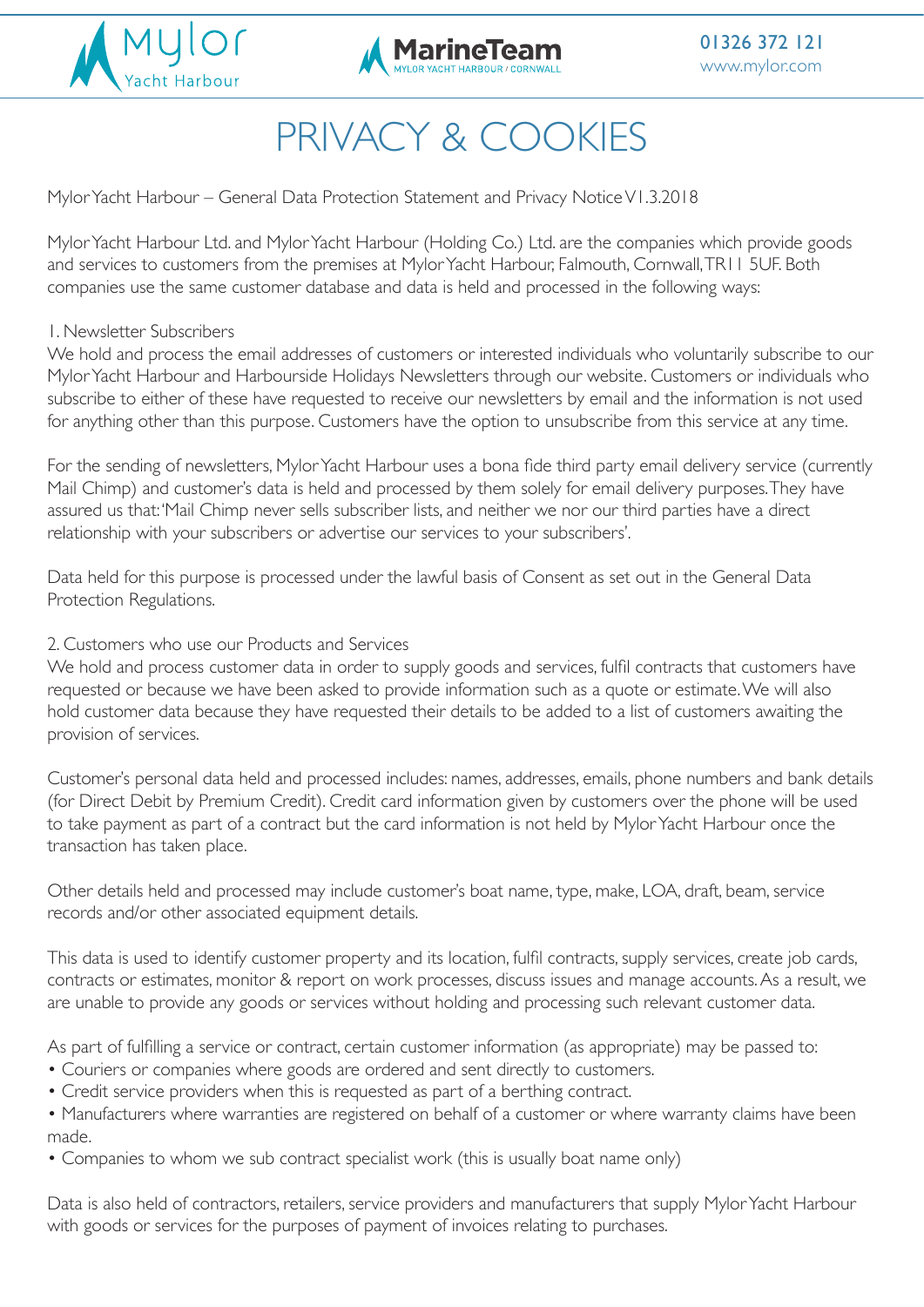



# PRIVACY & COOKIES

Mylor Yacht Harbour – General Data Protection Statement and Privacy Notice V1.3.2018

j

Mylor Yacht Harbour Ltd. and Mylor Yacht Harbour (Holding Co.) Ltd. are the companies which provide goods and services to customers from the premises at Mylor Yacht Harbour, Falmouth, Cornwall, TR11 5UF. Both companies use the same customer database and data is held and processed in the following ways:

### 1. Newsletter Subscribers

We hold and process the email addresses of customers or interested individuals who voluntarily subscribe to our Mylor Yacht Harbour and Harbourside Holidays Newsletters through our website. Customers or individuals who subscribe to either of these have requested to receive our newsletters by email and the information is not used for anything other than this purpose. Customers have the option to unsubscribe from this service at any time.

For the sending of newsletters, Mylor Yacht Harbour uses a bona fide third party email delivery service (currently Mail Chimp) and customer's data is held and processed by them solely for email delivery purposes. They have assured us that: 'Mail Chimp never sells subscriber lists, and neither we nor our third parties have a direct relationship with your subscribers or advertise our services to your subscribers'.

Data held for this purpose is processed under the lawful basis of Consent as set out in the General Data Protection Regulations.

### 2. Customers who use our Products and Services

We hold and process customer data in order to supply goods and services, fulfil contracts that customers have requested or because we have been asked to provide information such as a quote or estimate. We will also hold customer data because they have requested their details to be added to a list of customers awaiting the provision of services.

Customer's personal data held and processed includes: names, addresses, emails, phone numbers and bank details (for Direct Debit by Premium Credit). Credit card information given by customers over the phone will be used to take payment as part of a contract but the card information is not held by Mylor Yacht Harbour once the transaction has taken place.

Other details held and processed may include customer's boat name, type, make, LOA, draft, beam, service records and/or other associated equipment details.

This data is used to identify customer property and its location, fulfil contracts, supply services, create job cards, contracts or estimates, monitor & report on work processes, discuss issues and manage accounts. As a result, we are unable to provide any goods or services without holding and processing such relevant customer data.

As part of fulfilling a service or contract, certain customer information (as appropriate) may be passed to:

- Couriers or companies where goods are ordered and sent directly to customers.
- Credit service providers when this is requested as part of a berthing contract.

• Manufacturers where warranties are registered on behalf of a customer or where warranty claims have been made.

• Companies to whom we sub contract specialist work (this is usually boat name only)

Data is also held of contractors, retailers, service providers and manufacturers that supply Mylor Yacht Harbour with goods or services for the purposes of payment of invoices relating to purchases.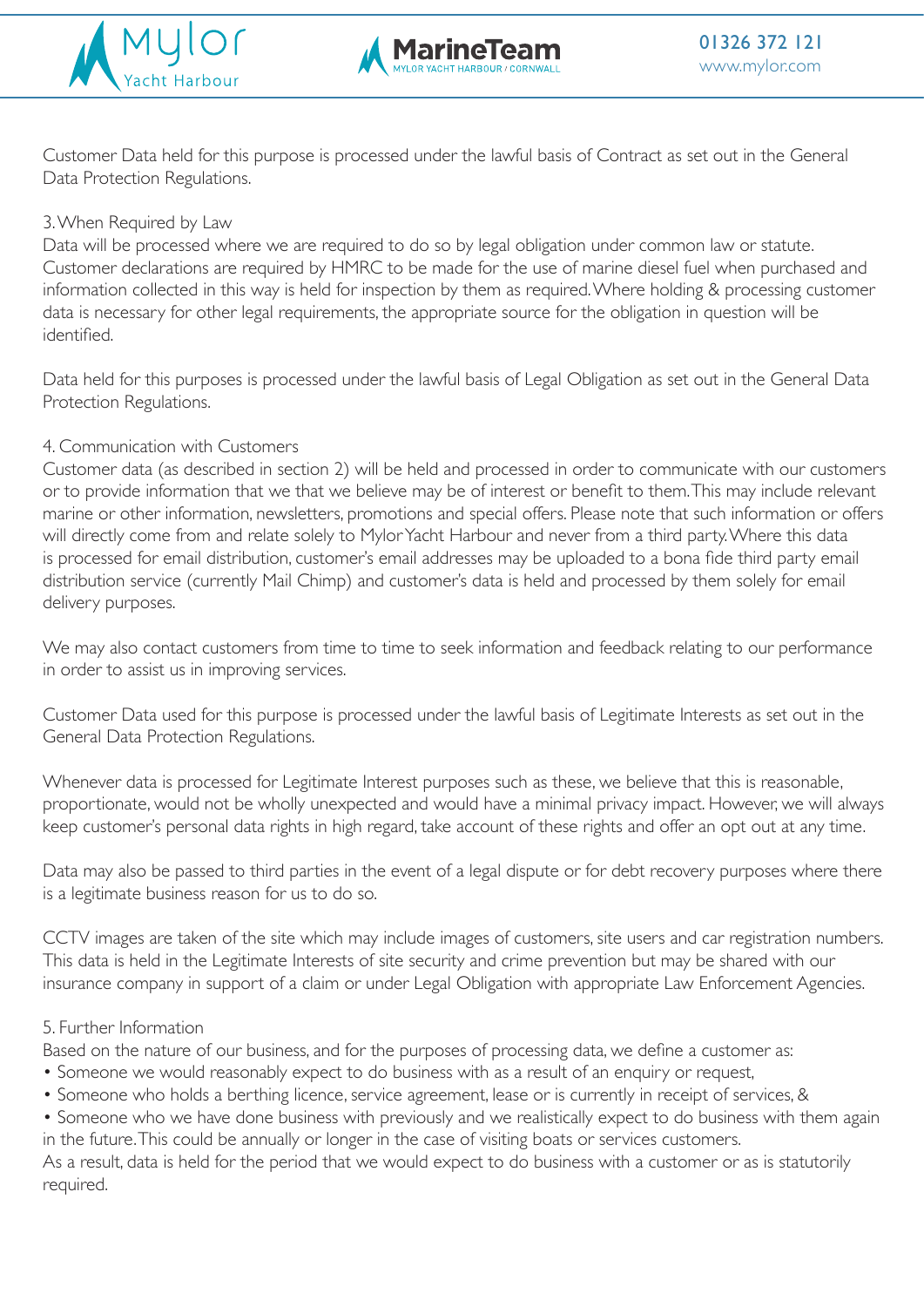



Customer Data held for this purpose is processed under the lawful basis of Contract as set out in the General Data Protection Regulations.

## 3. When Required by Law

Data will be processed where we are required to do so by legal obligation under common law or statute. Customer declarations are required by HMRC to be made for the use of marine diesel fuel when purchased and information collected in this way is held for inspection by them as required. Where holding & processing customer data is necessary for other legal requirements, the appropriate source for the obligation in question will be identified.

Data held for this purposes is processed under the lawful basis of Legal Obligation as set out in the General Data Protection Regulations.

### 4. Communication with Customers

Customer data (as described in section 2) will be held and processed in order to communicate with our customers or to provide information that we that we believe may be of interest or benefit to them. This may include relevant marine or other information, newsletters, promotions and special offers. Please note that such information or offers will directly come from and relate solely to Mylor Yacht Harbour and never from a third party. Where this data is processed for email distribution, customer's email addresses may be uploaded to a bona fide third party email distribution service (currently Mail Chimp) and customer's data is held and processed by them solely for email delivery purposes.

We may also contact customers from time to time to seek information and feedback relating to our performance in order to assist us in improving services.

Customer Data used for this purpose is processed under the lawful basis of Legitimate Interests as set out in the General Data Protection Regulations.

Whenever data is processed for Legitimate Interest purposes such as these, we believe that this is reasonable, proportionate, would not be wholly unexpected and would have a minimal privacy impact. However, we will always keep customer's personal data rights in high regard, take account of these rights and offer an opt out at any time.

Data may also be passed to third parties in the event of a legal dispute or for debt recovery purposes where there is a legitimate business reason for us to do so.

CCTV images are taken of the site which may include images of customers, site users and car registration numbers. This data is held in the Legitimate Interests of site security and crime prevention but may be shared with our insurance company in support of a claim or under Legal Obligation with appropriate Law Enforcement Agencies.

### 5. Further Information

Based on the nature of our business, and for the purposes of processing data, we define a customer as:

- Someone we would reasonably expect to do business with as a result of an enquiry or request,
- Someone who holds a berthing licence, service agreement, lease or is currently in receipt of services, &
- Someone who we have done business with previously and we realistically expect to do business with them again in the future. This could be annually or longer in the case of visiting boats or services customers.

As a result, data is held for the period that we would expect to do business with a customer or as is statutorily required.